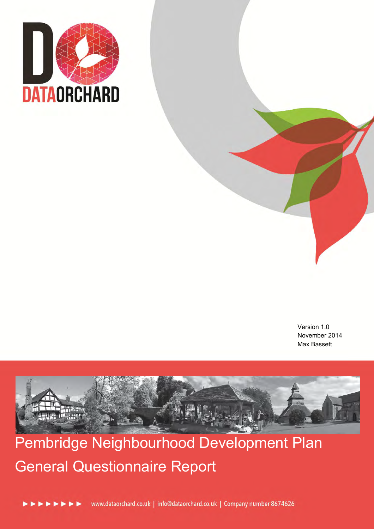

Version 1.0 November 2014 Max Bassett



Pembridge Neighbourhood Development Plan General Questionnaire Report



www.dataorchard.co.uk | info@dataorchard.co.uk | Company number 8674626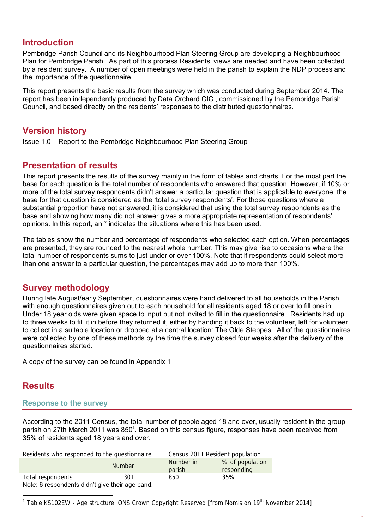# **Introduction**

Pembridge Parish Council and its Neighbourhood Plan Steering Group are developing a Neighbourhood Plan for Pembridge Parish. As part of this process Residents' views are needed and have been collected by a resident survey. A number of open meetings were held in the parish to explain the NDP process and the importance of the questionnaire.

This report presents the basic results from the survey which was conducted during September 2014. The report has been independently produced by Data Orchard CIC , commissioned by the Pembridge Parish Council, and based directly on the residents' responses to the distributed questionnaires.

# **Version history**

Issue 1.0 – Report to the Pembridge Neighbourhood Plan Steering Group

# **Presentation of results**

This report presents the results of the survey mainly in the form of tables and charts. For the most part the base for each question is the total number of respondents who answered that question. However, if 10% or more of the total survey respondents didn't answer a particular question that is applicable to everyone, the base for that question is considered as the 'total survey respondents'. For those questions where a substantial proportion have not answered, it is considered that using the total survey respondents as the base and showing how many did not answer gives a more appropriate representation of respondents' opinions. In this report, an \* indicates the situations where this has been used.

The tables show the number and percentage of respondents who selected each option. When percentages are presented, they are rounded to the nearest whole number. This may give rise to occasions where the total number of respondents sums to just under or over 100%. Note that if respondents could select more than one answer to a particular question, the percentages may add up to more than 100%.

# **Survey methodology**

During late August/early September, questionnaires were hand delivered to all households in the Parish, with enough questionnaires given out to each household for all residents aged 18 or over to fill one in. Under 18 year olds were given space to input but not invited to fill in the questionnaire. Residents had up to three weeks to fill it in before they returned it, either by handing it back to the volunteer, left for volunteer to collect in a suitable location or dropped at a central location: The Olde Steppes. All of the questionnaires were collected by one of these methods by the time the survey closed four weeks after the delivery of the questionnaires started.

A copy of the survey can be found in Appendix 1

# **Results**

 $\overline{a}$ 

### **Response to the survey**

According to the 2011 Census, the total number of people aged 18 and over, usually resident in the group parish on 27th March 2011 was 850<sup>1</sup>. Based on this census figure, responses have been received from 35% of residents aged 18 years and over.

| Residents who responded to the questionnaire   |        | Census 2011 Resident population |                 |  |  |  |  |
|------------------------------------------------|--------|---------------------------------|-----------------|--|--|--|--|
|                                                | Number | Number in                       | % of population |  |  |  |  |
|                                                |        | parish                          | responding      |  |  |  |  |
| Total respondents                              | 301    | 850                             | 35%             |  |  |  |  |
| Note: 6 reapondente didn't give their ago hand |        |                                 |                 |  |  |  |  |

Note: 6 respondents didn't give their age band.

<sup>1</sup> Table KS102EW - Age structure. ONS Crown Copyright Reserved [from Nomis on 19<sup>th</sup> November 2014]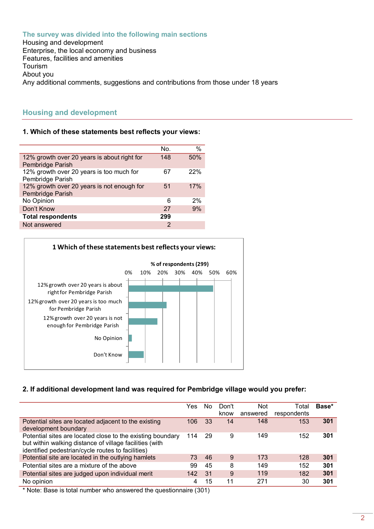**The survey was divided into the following main sections**  Housing and development Enterprise, the local economy and business Features, facilities and amenities Tourism About you Any additional comments, suggestions and contributions from those under 18 years

# **Housing and development**

### **1. Which of these statements best reflects your views:**

|                                             | No. | $\%$ |
|---------------------------------------------|-----|------|
| 12% growth over 20 years is about right for | 148 | 50%  |
| Pembridge Parish                            |     |      |
| 12% growth over 20 years is too much for    | 67  | 22%  |
| Pembridge Parish                            |     |      |
| 12% growth over 20 years is not enough for  | 51  | 17%  |
| Pembridge Parish                            |     |      |
| No Opinion                                  | 6   | 2%   |
| Don't Know                                  | 27  | 9%   |
| <b>Total respondents</b>                    | 299 |      |
| Not answered                                | 2   |      |



### **2. If additional development land was required for Pembridge village would you prefer:**

|                                                                                                                                                                            | Yes | No. | Don't<br>know | <b>Not</b><br>answered | Total<br>respondents | Base* |
|----------------------------------------------------------------------------------------------------------------------------------------------------------------------------|-----|-----|---------------|------------------------|----------------------|-------|
|                                                                                                                                                                            |     |     |               |                        |                      |       |
| Potential sites are located adjacent to the existing<br>development boundary                                                                                               | 106 | 33  | 14            | 148                    | 153                  | 301   |
| Potential sites are located close to the existing boundary<br>but within walking distance of village facilities (with<br>identified pedestrian/cycle routes to facilities) | 114 | 29  | 9             | 149                    | 152                  | 301   |
| Potential site are located in the outlying hamlets                                                                                                                         | 73  | 46  | 9             | 173                    | 128                  | 301   |
| Potential sites are a mixture of the above                                                                                                                                 | 99  | 45  | 8             | 149                    | 152                  | 301   |
| Potential sites are judged upon individual merit                                                                                                                           | 142 | 31  | 9             | 119                    | 182                  | 301   |
| No opinion                                                                                                                                                                 | 4   | 15  | 11            | 271                    | 30                   | 301   |
|                                                                                                                                                                            |     |     |               |                        |                      |       |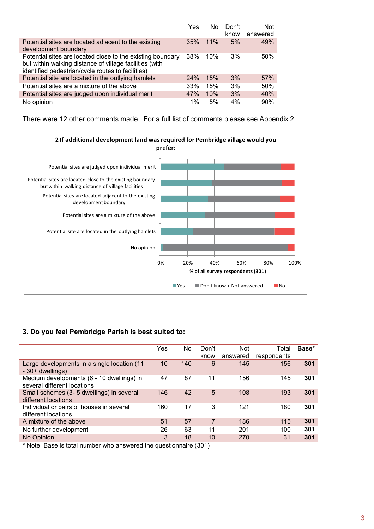|                                                                                                                                                                            | Yes | No  | Don't | <b>Not</b> |
|----------------------------------------------------------------------------------------------------------------------------------------------------------------------------|-----|-----|-------|------------|
|                                                                                                                                                                            |     |     | know  | answered   |
| Potential sites are located adjacent to the existing<br>development boundary                                                                                               | 35% | 11% | 5%    | 49%        |
|                                                                                                                                                                            |     | 10% | 3%    |            |
| Potential sites are located close to the existing boundary<br>but within walking distance of village facilities (with<br>identified pedestrian/cycle routes to facilities) | 38% |     |       | 50%        |
| Potential site are located in the outlying hamlets                                                                                                                         | 24% | 15% | 3%    | 57%        |
| Potential sites are a mixture of the above                                                                                                                                 | 33% | 15% | 3%    | 50%        |
| Potential sites are judged upon individual merit                                                                                                                           | 47% | 10% | 3%    | 40%        |
| No opinion                                                                                                                                                                 | 1%  | 5%  | 4%    | 90%        |

There were 12 other comments made. For a full list of comments please see Appendix 2.



### **3. Do you feel Pembridge Parish is best suited to:**

|                                                                          | Yes             | No. | Don't          | <b>Not</b> | Total       | Base* |
|--------------------------------------------------------------------------|-----------------|-----|----------------|------------|-------------|-------|
|                                                                          |                 |     | know           | answered   | respondents |       |
| Large developments in a single location (11<br>- 30+ dwellings)          | 10 <sup>°</sup> | 140 | 6              | 145        | 156         | 301   |
| Medium developments (6 - 10 dwellings) in<br>several different locations | 47              | 87  | 11             | 156        | 145         | 301   |
| Small schemes (3-5 dwellings) in several<br>different locations          | 146             | 42  | 5              | 108        | 193         | 301   |
| Individual or pairs of houses in several<br>different locations          | 160             | 17  | 3              | 121        | 180         | 301   |
| A mixture of the above                                                   | 51              | 57  | $\overline{7}$ | 186        | 115         | 301   |
| No further development                                                   | 26              | 63  | 11             | 201        | 100         | 301   |
| No Opinion                                                               | 3               | 18  | 10             | 270        | 31          | 301   |
| * Neto: Dess is tatal pupper ups spoussed the questionnaire (201)        |                 |     |                |            |             |       |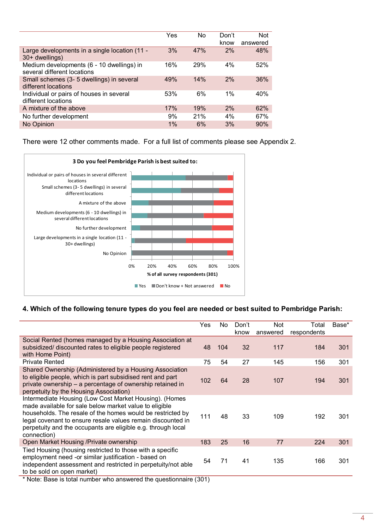|                                                                          | Yes | No  | Don't<br>know | <b>Not</b><br>answered |
|--------------------------------------------------------------------------|-----|-----|---------------|------------------------|
| Large developments in a single location (11 -<br>30+ dwellings)          | 3%  | 47% | 2%            | 48%                    |
| Medium developments (6 - 10 dwellings) in<br>several different locations | 16% | 29% | 4%            | 52%                    |
| Small schemes (3-5 dwellings) in several<br>different locations          | 49% | 14% | 2%            | 36%                    |
| Individual or pairs of houses in several<br>different locations          | 53% | 6%  | $1\%$         | 40%                    |
| A mixture of the above                                                   | 17% | 19% | 2%            | 62%                    |
| No further development                                                   | 9%  | 21% | 4%            | 67%                    |
| No Opinion                                                               | 1%  | 6%  | 3%            | 90%                    |

There were 12 other comments made. For a full list of comments please see Appendix 2.



### **4. Which of the following tenure types do you feel are needed or best suited to Pembridge Parish:**

|                                                                                                                                                                                                                                                                                                                              | Yes                        | No. | Don't<br>know | Not<br>answered | Total<br>respondents | Base* |
|------------------------------------------------------------------------------------------------------------------------------------------------------------------------------------------------------------------------------------------------------------------------------------------------------------------------------|----------------------------|-----|---------------|-----------------|----------------------|-------|
| Social Rented (homes managed by a Housing Association at<br>subsidized/ discounted rates to eligible people registered<br>with Home Point)                                                                                                                                                                                   | 48                         | 104 | 32            | 117             | 184                  | 301   |
| <b>Private Rented</b>                                                                                                                                                                                                                                                                                                        | 75                         | 54  | 27            | 145             | 156                  | 301   |
| Shared Ownership (Administered by a Housing Association<br>to eligible people, which is part subsidised rent and part<br>private ownership – a percentage of ownership retained in<br>perpetuity by the Housing Association)                                                                                                 | 102                        | 64  | 28            | 107             | 194                  | 301   |
| Intermediate Housing (Low Cost Market Housing). (Homes<br>made available for sale below market value to eligible<br>households. The resale of the homes would be restricted by<br>legal covenant to ensure resale values remain discounted in<br>perpetuity and the occupants are eligible e.g. through local<br>connection) | 111                        | 48  | 33            | 109             | 192                  | 301   |
| Open Market Housing /Private ownership                                                                                                                                                                                                                                                                                       | 183                        | 25  | 16            | 77              | 224                  | 301   |
| Tied Housing (housing restricted to those with a specific<br>employment need -or similar justification - based on<br>independent assessment and restricted in perpetuity/not able<br>to be sold on open market)<br>.<br>$\cdot$ $\cdot$<br>.<br>$\sim$                                                                       | 54<br>$\sim$ $\sim$ $\sim$ | 71  | 41            | 135             | 166                  | 301   |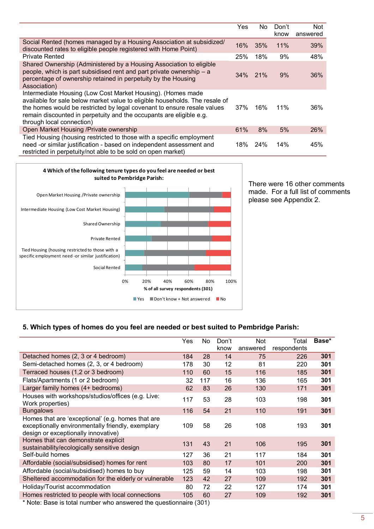|                                                                                                                                                                                                                                                                                                                           | Yes    | No.        | Don't<br>know | Not<br>answered |
|---------------------------------------------------------------------------------------------------------------------------------------------------------------------------------------------------------------------------------------------------------------------------------------------------------------------------|--------|------------|---------------|-----------------|
| Social Rented (homes managed by a Housing Association at subsidized/<br>discounted rates to eligible people registered with Home Point)                                                                                                                                                                                   | 16%    | 35%        | 11%           | 39%             |
| <b>Private Rented</b>                                                                                                                                                                                                                                                                                                     | 25%    | 18%        | 9%            | 48%             |
| Shared Ownership (Administered by a Housing Association to eligible<br>people, which is part subsidised rent and part private ownership - a<br>percentage of ownership retained in perpetuity by the Housing<br>Association)                                                                                              | $34\%$ | <b>21%</b> | 9%            | 36%             |
| Intermediate Housing (Low Cost Market Housing). (Homes made<br>available for sale below market value to eligible households. The resale of<br>the homes would be restricted by legal covenant to ensure resale values<br>remain discounted in perpetuity and the occupants are eligible e.g.<br>through local connection) | 37%    | 16%        | 11%           | 36%             |
| Open Market Housing /Private ownership                                                                                                                                                                                                                                                                                    | 61%    | 8%         | 5%            | 26%             |
| Tied Housing (housing restricted to those with a specific employment<br>need -or similar justification - based on independent assessment and<br>restricted in perpetuity/not able to be sold on open market)                                                                                                              | 18%    | 24%        | 14%           | 45%             |



There were 16 other comments made. For a full list of comments please see Appendix 2.

### **5. Which types of homes do you feel are needed or best suited to Pembridge Parish:**

|                                                                                                                                               | Yes | No. | Don't | <b>Not</b> | Total       | Base* |
|-----------------------------------------------------------------------------------------------------------------------------------------------|-----|-----|-------|------------|-------------|-------|
|                                                                                                                                               |     |     | know  | answered   | respondents |       |
| Detached homes (2, 3 or 4 bedroom)                                                                                                            | 184 | 28  | 14    | 75         | 226         | 301   |
| Semi-detached homes (2, 3, or 4 bedroom)                                                                                                      | 178 | 30  | 12    | 81         | 220         | 301   |
| Terraced houses (1,2 or 3 bedroom)                                                                                                            | 110 | 60  | 15    | 116        | 185         | 301   |
| Flats/Apartments (1 or 2 bedroom)                                                                                                             | 32  | 117 | 16    | 136        | 165         | 301   |
| Larger family homes (4+ bedrooms)                                                                                                             | 62  | 83  | 26    | 130        | 171         | 301   |
| Houses with workshops/studios/offices (e.g. Live:<br>Work properties)                                                                         | 117 | 53  | 28    | 103        | 198         | 301   |
| <b>Bungalows</b>                                                                                                                              | 116 | 54  | 21    | 110        | 191         | 301   |
| Homes that are 'exceptional' (e.g. homes that are<br>exceptionally environmentally friendly, exemplary<br>design or exceptionally innovative) | 109 | 58  | 26    | 108        | 193         | 301   |
| Homes that can demonstrate explicit<br>sustainability/ecologically sensitive design                                                           | 131 | 43  | 21    | 106        | 195         | 301   |
| Self-build homes                                                                                                                              | 127 | 36  | 21    | 117        | 184         | 301   |
| Affordable (social/subsidised) homes for rent                                                                                                 | 103 | 80  | 17    | 101        | 200         | 301   |
| Affordable (social/subsidised) homes to buy                                                                                                   | 125 | 59  | 14    | 103        | 198         | 301   |
| Sheltered accommodation for the elderly or vulnerable                                                                                         | 123 | 42  | 27    | 109        | 192         | 301   |
| Holiday/Tourist accommodation                                                                                                                 | 80  | 72  | 22    | 127        | 174         | 301   |
| Homes restricted to people with local connections                                                                                             | 105 | 60  | 27    | 109        | 192         | 301   |
| * Note: Base is total number who answered the questionnaire (301)                                                                             |     |     |       |            |             |       |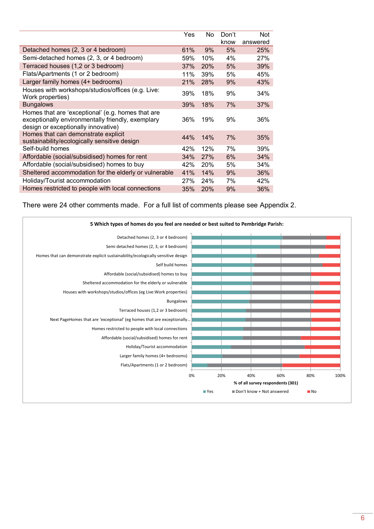|                                                                                                                                               | Yes | No  | Don't | <b>Not</b> |
|-----------------------------------------------------------------------------------------------------------------------------------------------|-----|-----|-------|------------|
|                                                                                                                                               |     |     | know  | answered   |
| Detached homes (2, 3 or 4 bedroom)                                                                                                            | 61% | 9%  | 5%    | 25%        |
| Semi-detached homes (2, 3, or 4 bedroom)                                                                                                      | 59% | 10% | 4%    | 27%        |
| Terraced houses (1,2 or 3 bedroom)                                                                                                            | 37% | 20% | 5%    | 39%        |
| Flats/Apartments (1 or 2 bedroom)                                                                                                             | 11% | 39% | 5%    | 45%        |
| Larger family homes (4+ bedrooms)                                                                                                             | 21% | 28% | 9%    | 43%        |
| Houses with workshops/studios/offices (e.g. Live:<br>Work properties)                                                                         | 39% | 18% | 9%    | 34%        |
| <b>Bungalows</b>                                                                                                                              | 39% | 18% | 7%    | 37%        |
| Homes that are 'exceptional' (e.g. homes that are<br>exceptionally environmentally friendly, exemplary<br>design or exceptionally innovative) | 36% | 19% | 9%    | 36%        |
| Homes that can demonstrate explicit<br>sustainability/ecologically sensitive design                                                           | 44% | 14% | 7%    | 35%        |
| Self-build homes                                                                                                                              | 42% | 12% | 7%    | 39%        |
| Affordable (social/subsidised) homes for rent                                                                                                 | 34% | 27% | 6%    | 34%        |
| Affordable (social/subsidised) homes to buy                                                                                                   | 42% | 20% | 5%    | 34%        |
| Sheltered accommodation for the elderly or vulnerable                                                                                         | 41% | 14% | 9%    | 36%        |
| Holiday/Tourist accommodation                                                                                                                 | 27% | 24% | 7%    | 42%        |
| Homes restricted to people with local connections                                                                                             | 35% | 20% | 9%    | 36%        |

There were 24 other comments made. For a full list of comments please see Appendix 2.

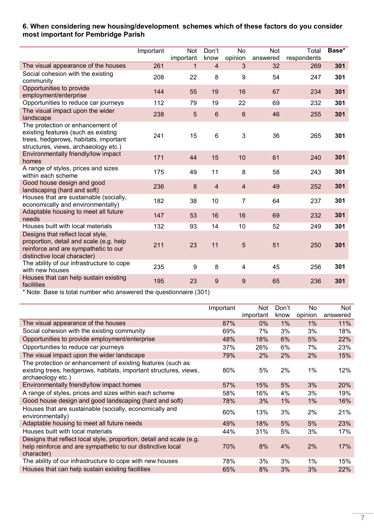### **6. When considering new housing/development schemes which of these factors do you consider most important for Pembridge Parish**

|                                                                                                                                                          | Important | Not<br>important | Don't<br>know   | <b>No</b><br>opinion | <b>Not</b><br>answered | <b>Total</b><br>respondents | Base* |
|----------------------------------------------------------------------------------------------------------------------------------------------------------|-----------|------------------|-----------------|----------------------|------------------------|-----------------------------|-------|
| The visual appearance of the houses                                                                                                                      | 261       | 1                | $\overline{4}$  | 3                    | 32                     | 269                         | 301   |
| Social cohesion with the existing<br>community                                                                                                           | 208       | 22               | 8               | 9                    | 54                     | 247                         | 301   |
| Opportunities to provide<br>employment/enterprise                                                                                                        | 144       | 55               | 19              | 16                   | 67                     | 234                         | 301   |
| Opportunities to reduce car journeys                                                                                                                     | 112       | 79               | 19              | 22                   | 69                     | 232                         | 301   |
| The visual impact upon the wider<br>landscape                                                                                                            | 238       | $\overline{5}$   | $6\phantom{1}6$ | $\,6$                | 46                     | 255                         | 301   |
| The protection or enhancement of<br>existing features (such as existing<br>trees, hedgerows, habitats, important<br>structures, views, archaeology etc.) | 241       | 15               | 6               | $\mathbf{3}$         | 36                     | 265                         | 301   |
| Environmentally friendly/low impact<br>homes                                                                                                             | 171       | 44               | 15              | 10                   | 61                     | 240                         | 301   |
| A range of styles, prices and sizes<br>within each scheme                                                                                                | 175       | 49               | 11              | 8                    | 58                     | 243                         | 301   |
| Good house design and good<br>landscaping (hard and soft)                                                                                                | 236       | 8                | $\overline{4}$  | $\overline{4}$       | 49                     | 252                         | 301   |
| Houses that are sustainable (socially,<br>economically and environmentally)                                                                              | 182       | 38               | 10              | $\overline{7}$       | 64                     | 237                         | 301   |
| Adaptable housing to meet all future<br>needs                                                                                                            | 147       | 53               | 16              | 16                   | 69                     | 232                         | 301   |
| Houses built with local materials                                                                                                                        | 132       | 93               | 14              | 10                   | 52                     | 249                         | 301   |
| Designs that reflect local style,<br>proportion, detail and scale (e.g. help<br>reinforce and are sympathetic to our<br>distinctive local character)     | 211       | 23               | 11              | 5                    | 51                     | 250                         | 301   |
| The ability of our infrastructure to cope<br>with new houses                                                                                             | 235       | 9                | 8               | 4                    | 45                     | 256                         | 301   |
| Houses that can help sustain existing<br>facilities                                                                                                      | 195       | 23               | 9               | 9                    | 65                     | 236                         | 301   |

|                                                                                                                                                       | Important | Not.<br>important | Don't<br>know | No.<br>opinion | <b>Not</b><br>answered |
|-------------------------------------------------------------------------------------------------------------------------------------------------------|-----------|-------------------|---------------|----------------|------------------------|
| The visual appearance of the houses                                                                                                                   | 87%       | $0\%$             | $1\%$         | 1%             | 11%                    |
| Social cohesion with the existing community                                                                                                           | 69%       | 7%                | 3%            | 3%             | 18%                    |
| Opportunities to provide employment/enterprise                                                                                                        | 48%       | 18%               | 6%            | 5%             | 22%                    |
| Opportunities to reduce car journeys                                                                                                                  | 37%       | 26%               | 6%            | 7%             | 23%                    |
| The visual impact upon the wider landscape                                                                                                            | 79%       | $2\%$             | 2%            | 2%             | 15%                    |
| The protection or enhancement of existing features (such as<br>existing trees, hedgerows, habitats, important structures, views,<br>archaeology etc.) | 80%       | 5%                | 2%            | 1%             | 12%                    |
| Environmentally friendly/low impact homes                                                                                                             | 57%       | 15%               | 5%            | 3%             | 20%                    |
| A range of styles, prices and sizes within each scheme                                                                                                | 58%       | 16%               | $4\%$         | 3%             | 19%                    |
| Good house design and good landscaping (hard and soft)                                                                                                | 78%       | 3%                | 1%            | $1\%$          | 16%                    |
| Houses that are sustainable (socially, economically and<br>environmentally)                                                                           | 60%       | 13%               | 3%            | 2%             | 21%                    |
| Adaptable housing to meet all future needs                                                                                                            | 49%       | 18%               | 5%            | 5%             | 23%                    |
| Houses built with local materials                                                                                                                     | 44%       | 31%               | 5%            | 3%             | 17%                    |
| Designs that reflect local style, proportion, detail and scale (e.g.<br>help reinforce and are sympathetic to our distinctive local<br>character)     | 70%       | 8%                | 4%            | 2%             | 17%                    |
| The ability of our infrastructure to cope with new houses                                                                                             | 78%       | 3%                | 3%            | $1\%$          | 15%                    |
| Houses that can help sustain existing facilities                                                                                                      | 65%       | 8%                | 3%            | 3%             | 22%                    |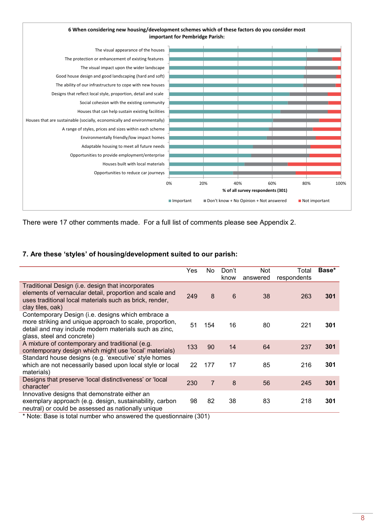

There were 17 other comments made. For a full list of comments please see Appendix 2.

### **7. Are these 'styles' of housing/development suited to our parish:**

|                                                                                                                                                                                                     | Yes | No. | Don't | <b>Not</b> | Total       | Base* |
|-----------------------------------------------------------------------------------------------------------------------------------------------------------------------------------------------------|-----|-----|-------|------------|-------------|-------|
|                                                                                                                                                                                                     |     |     | know  | answered   | respondents |       |
| Traditional Design (i.e. design that incorporates<br>elements of vernacular detail, proportion and scale and<br>uses traditional local materials such as brick, render,<br>clay tiles, oak)         | 249 | 8   | 6     | 38         | 263         | 301   |
| Contemporary Design (i.e. designs which embrace a<br>more striking and unique approach to scale, proportion,<br>detail and may include modern materials such as zinc,<br>glass, steel and concrete) | 51  | 154 | 16    | 80         | 221         | 301   |
| A mixture of contemporary and traditional (e.g.<br>contemporary design which might use 'local' materials)                                                                                           | 133 | 90  | 14    | 64         | 237         | 301   |
| Standard house designs (e.g. 'executive' style homes<br>which are not necessarily based upon local style or local<br>materials)                                                                     | 22  | 177 | 17    | 85         | 216         | 301   |
| Designs that preserve 'local distinctiveness' or 'local<br>character'                                                                                                                               | 230 | 7   | 8     | 56         | 245         | 301   |
| Innovative designs that demonstrate either an<br>exemplary approach (e.g. design, sustainability, carbon<br>neutral) or could be assessed as nationally unique                                      | 98  | 82  | 38    | 83         | 218         | 301   |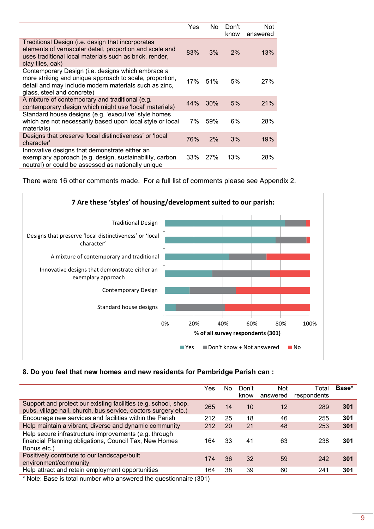|                                                                                                                                                                                                     | Yes | No.        | Don't<br>know | <b>Not</b><br>answered |
|-----------------------------------------------------------------------------------------------------------------------------------------------------------------------------------------------------|-----|------------|---------------|------------------------|
| Traditional Design (i.e. design that incorporates<br>elements of vernacular detail, proportion and scale and<br>uses traditional local materials such as brick, render,<br>clay tiles, oak)         | 83% | 3%         | 2%            | 13%                    |
| Contemporary Design (i.e. designs which embrace a<br>more striking and unique approach to scale, proportion,<br>detail and may include modern materials such as zinc,<br>glass, steel and concrete) | 17% | .51%       | 5%            | 27%                    |
| A mixture of contemporary and traditional (e.g.<br>contemporary design which might use 'local' materials)                                                                                           | 44% | 30%        | 5%            | 21%                    |
| Standard house designs (e.g. 'executive' style homes<br>which are not necessarily based upon local style or local<br>materials)                                                                     | 7%  | 59%        | 6%            | 28%                    |
| Designs that preserve 'local distinctiveness' or 'local<br>character'                                                                                                                               | 76% | 2%         | 3%            | 19%                    |
| Innovative designs that demonstrate either an<br>exemplary approach (e.g. design, sustainability, carbon<br>neutral) or could be assessed as nationally unique                                      | 33% | <b>27%</b> | 13%           | 28%                    |

There were 16 other comments made. For a full list of comments please see Appendix 2.



### **8. Do you feel that new homes and new residents for Pembridge Parish can :**

|                                                                                                                                   | Yes | No. | Don't<br>know | <b>Not</b><br>answered | Total<br>respondents | Base* |
|-----------------------------------------------------------------------------------------------------------------------------------|-----|-----|---------------|------------------------|----------------------|-------|
| Support and protect our existing facilities (e.g. school, shop,<br>pubs, village hall, church, bus service, doctors surgery etc.) | 265 | 14  | 10            | 12                     | 289                  | 301   |
| Encourage new services and facilities within the Parish                                                                           | 212 | 25  | 18            | 46                     | 255                  | 301   |
| Help maintain a vibrant, diverse and dynamic community                                                                            | 212 | 20  | 21            | 48                     | 253                  | 301   |
| Help secure infrastructure improvements (e.g. through<br>financial Planning obligations, Council Tax, New Homes<br>Bonus etc.)    | 164 | 33  | 41            | 63                     | 238                  | 301   |
| Positively contribute to our landscape/built<br>environment/community                                                             | 174 | 36  | 32            | 59                     | 242                  | 301   |
| Help attract and retain employment opportunities                                                                                  | 164 | 38  | 39            | 60                     | 241                  | 301   |
|                                                                                                                                   |     |     |               |                        |                      |       |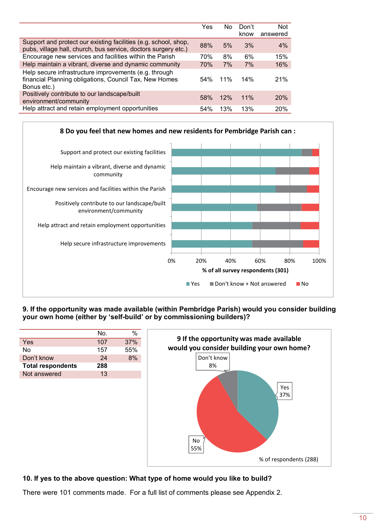|                                                                                                                                   | Yes | N٥  | Don't  | <b>Not</b> |
|-----------------------------------------------------------------------------------------------------------------------------------|-----|-----|--------|------------|
|                                                                                                                                   |     |     | know   | answered   |
| Support and protect our existing facilities (e.g. school, shop,<br>pubs, village hall, church, bus service, doctors surgery etc.) | 88% | 5%  | 3%     | 4%         |
| Encourage new services and facilities within the Parish                                                                           | 70% | 8%  | 6%     | 15%        |
| Help maintain a vibrant, diverse and dynamic community                                                                            | 70% | 7%  | 7%     | 16%        |
| Help secure infrastructure improvements (e.g. through<br>financial Planning obligations, Council Tax, New Homes<br>Bonus etc.)    | 54% | 11% | 14%    | 21%        |
| Positively contribute to our landscape/built<br>environment/community                                                             | 58% | 12% | $11\%$ | <b>20%</b> |
| Help attract and retain employment opportunities                                                                                  | 54% | 13% | 13%    | 20%        |



**9. If the opportunity was made available (within Pembridge Parish) would you consider building your own home (either by 'self-build' or by commissioning builders)?** 

|                          | No. | $\%$ |                                            |
|--------------------------|-----|------|--------------------------------------------|
| Yes                      | 107 | 37%  | 9 If the opportunity was made available    |
| <b>No</b>                | 157 | 55%  | would you consider building your own home? |
| Don't know               | 24  | 8%   | Don't know                                 |
| <b>Total respondents</b> | 288 |      | 8%                                         |
| Not answered             | 13  |      |                                            |
|                          |     |      | Yes<br>37%<br><b>No</b><br>55%             |

### **10. If yes to the above question: What type of home would you like to build?**

There were 101 comments made. For a full list of comments please see Appendix 2.

% of respondents (288)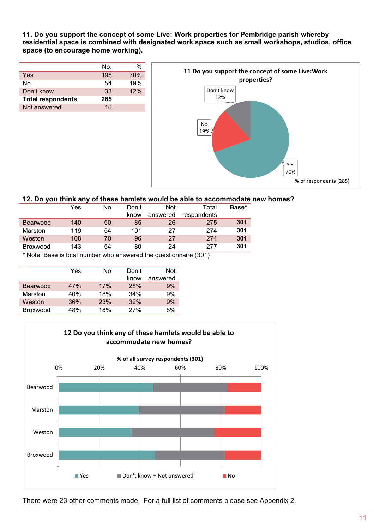**11. Do you support the concept of some Live: Work properties for Pembridge parish whereby residential space is combined with designated work space such as small workshops, studios, office space (to encourage home working).** 

|                          | No. | %   |
|--------------------------|-----|-----|
| Yes                      | 198 | 70% |
| Nο                       | 54  | 19% |
| Don't know               | 33  | 12% |
| <b>Total respondents</b> | 285 |     |
| Not answered             | 16  |     |



#### **12. Do you think any of these hamlets would be able to accommodate new homes?**

|                 | . . |    |       |            |             |       |
|-----------------|-----|----|-------|------------|-------------|-------|
|                 | Yes | No | Don't | <b>Not</b> | Total       | Base* |
|                 |     |    | know  | answered   | respondents |       |
| <b>Bearwood</b> | 140 | 50 | 85    | 26         | 275         | 301   |
| Marston         | 119 | 54 | 101   | 27         | 274         | 301   |
| Weston          | 108 | 70 | 96    | 27         | 274         | 301   |
| <b>Broxwood</b> | 143 | 54 | 80    | 24         | 277         | 301   |

\* Note: Base is total number who answered the questionnaire (301)

|                 | Yes | N٥  | Don't<br>know | <b>Not</b><br>answered |
|-----------------|-----|-----|---------------|------------------------|
| Bearwood        | 47% | 17% | 28%           | 9%                     |
| Marston         | 40% | 18% | 34%           | 9%                     |
| Weston          | 36% | 23% | 32%           | 9%                     |
| <b>Broxwood</b> | 48% | 18% | 27%           | 8%                     |



There were 23 other comments made. For a full list of comments please see Appendix 2.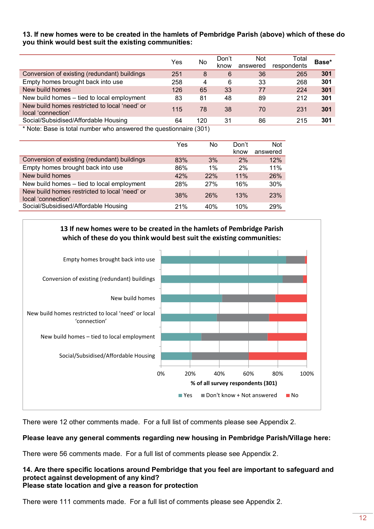### **13. If new homes were to be created in the hamlets of Pembridge Parish (above) which of these do you think would best suit the existing communities:**

|                                                                     | Yes | No                          | Don't<br>know | <b>Not</b><br>answered | Total<br>respondents | Base* |
|---------------------------------------------------------------------|-----|-----------------------------|---------------|------------------------|----------------------|-------|
| Conversion of existing (redundant) buildings                        | 251 | 8                           | 6             | 36                     | 265                  | 301   |
| Empty homes brought back into use                                   | 258 | 4                           | 6             | 33                     | 268                  | 301   |
| New build homes                                                     | 126 | 65                          | 33            | 77                     | 224                  | 301   |
| New build homes - tied to local employment                          | 83  | 81                          | 48            | 89                     | 212                  | 301   |
| New build homes restricted to local 'need' or<br>local 'connection' | 115 | 78                          | 38            | 70                     | 231                  | 301   |
| Social/Subsidised/Affordable Housing                                | 64  | 120                         | 31            | 86                     | 215                  | 301   |
| .                                                                   |     | $\sim$ $\sim$ $\sim$ $\sim$ |               |                        |                      |       |

Note: Base is total number who answered the questionnaire (301)

|                                                                     | Yes | No  | Don't<br>know | <b>Not</b><br>answered |
|---------------------------------------------------------------------|-----|-----|---------------|------------------------|
| Conversion of existing (redundant) buildings                        | 83% | 3%  | 2%            | 12%                    |
| Empty homes brought back into use                                   | 86% | 1%  | 2%            | 11%                    |
| New build homes                                                     | 42% | 22% | 11%           | 26%                    |
| New build homes - tied to local employment                          | 28% | 27% | 16%           | 30%                    |
| New build homes restricted to local 'need' or<br>local 'connection' | 38% | 26% | 13%           | 23%                    |
| Social/Subsidised/Affordable Housing                                | 21% | 40% | 10%           | 29%                    |



There were 12 other comments made. For a full list of comments please see Appendix 2.

### **Please leave any general comments regarding new housing in Pembridge Parish/Village here:**

There were 56 comments made. For a full list of comments please see Appendix 2.

#### **14. Are there specific locations around Pembridge that you feel are important to safeguard and protect against development of any kind? Please state location and give a reason for protection**

There were 111 comments made. For a full list of comments please see Appendix 2.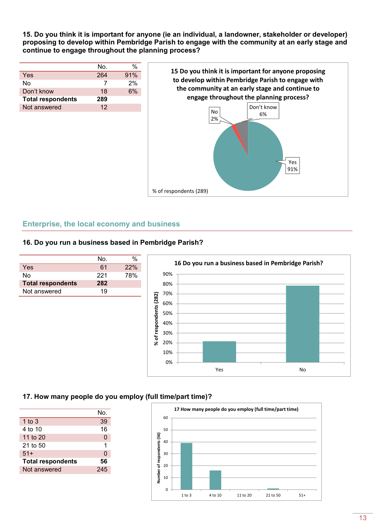**15. Do you think it is important for anyone (ie an individual, a landowner, stakeholder or developer) proposing to develop within Pembridge Parish to engage with the community at an early stage and continue to engage throughout the planning process?** 

|                          | No. | $\%$ |
|--------------------------|-----|------|
| Yes                      | 264 | 91%  |
| N٥                       |     | 2%   |
| Don't know               | 18  | 6%   |
| <b>Total respondents</b> | 289 |      |
| Not answered             | 12  |      |



### **Enterprise, the local economy and business**

### **16. Do you run a business based in Pembridge Parish?**

| Nο. |     |
|-----|-----|
| 61  | 22% |
| 221 | 78% |
| 282 |     |
| 19  |     |
|     |     |



### **17. How many people do you employ (full time/part time)?**

|                          | No. |
|--------------------------|-----|
| 1 to $3$                 | 39  |
| 4 to 10                  | 16  |
| 11 to 20                 | 0   |
| 21 to 50                 | 1   |
| $51+$                    | 0   |
| <b>Total respondents</b> | 56  |
| Not answered             | 245 |

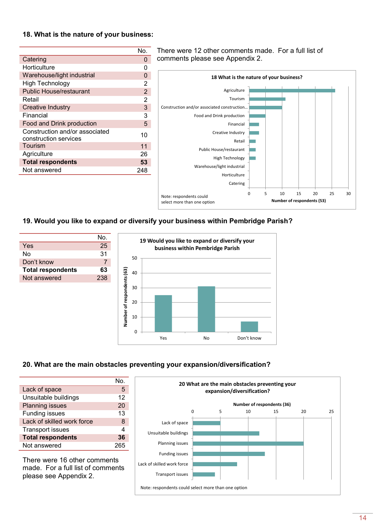#### **18. What is the nature of your business:**

|                                                         | No.            |
|---------------------------------------------------------|----------------|
| Catering                                                | $\Omega$       |
| Horticulture                                            | n              |
| Warehouse/light industrial                              | O              |
| <b>High Technology</b>                                  | 2              |
| <b>Public House/restaurant</b>                          | $\overline{2}$ |
| Retail                                                  | 2              |
| Creative Industry                                       | 3              |
| Financial                                               | 3              |
| Food and Drink production                               | 5              |
| Construction and/or associated<br>construction services | 10             |
| Tourism                                                 | 11             |
| Agriculture                                             | 26             |
| <b>Total respondents</b>                                | 53             |
| Not answered                                            | 248            |

There were 12 other comments made. For a full list of comments please see Appendix 2.



### **19. Would you like to expand or diversify your business within Pembridge Parish?**



### **20. What are the main obstacles preventing your expansion/diversification?**

|                            | N∩. |
|----------------------------|-----|
| Lack of space              | 5   |
| Unsuitable buildings       | 12  |
| <b>Planning issues</b>     | 20  |
| <b>Funding issues</b>      | 13  |
| Lack of skilled work force | 8   |
| <b>Transport issues</b>    |     |
| <b>Total respondents</b>   | 36  |
| Not answered               |     |

There were 16 other comments made. For a full list of comments please see Appendix 2.

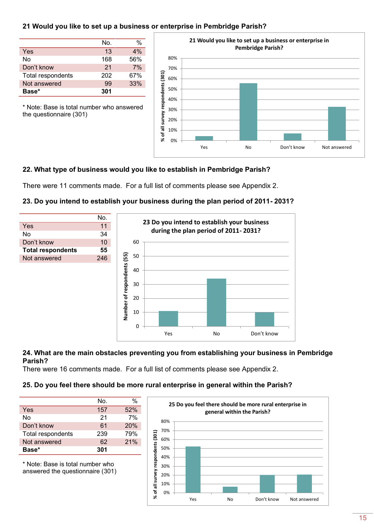### **21 Would you like to set up a business or enterprise in Pembridge Parish?**

|                   | No. | %   |
|-------------------|-----|-----|
| Yes               | 13  | 4%  |
| No                | 168 | 56% |
| Don't know        | 21  | 7%  |
| Total respondents | 202 | 67% |
| Not answered      | 99  | 33% |
| Base*             | 301 |     |

\* Note: Base is total number who answered

the questionnaire (301)



### **22. What type of business would you like to establish in Pembridge Parish?**

There were 11 comments made. For a full list of comments please see Appendix 2.

### **23. Do you intend to establish your business during the plan period of 2011- 2031?**



#### **24. What are the main obstacles preventing you from establishing your business in Pembridge Parish?**

There were 16 comments made. For a full list of comments please see Appendix 2.

### **25. Do you feel there should be more rural enterprise in general within the Parish?**

|                   | No. | %   |
|-------------------|-----|-----|
| Yes               | 157 | 52% |
| Nο                | 21  | 7%  |
| Don't know        | 61  | 20% |
| Total respondents | 239 | 79% |
| Not answered      | 62  | 21% |
| Base*             | 301 |     |

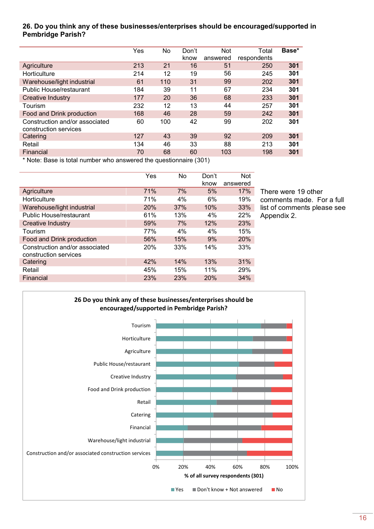### **26. Do you think any of these businesses/enterprises should be encouraged/supported in Pembridge Parish?**

|                                                         | Yes | No  | Don't<br>know | <b>Not</b><br>answered | Total<br>respondents | Base* |
|---------------------------------------------------------|-----|-----|---------------|------------------------|----------------------|-------|
| Agriculture                                             | 213 | 21  | 16            | 51                     | 250                  | 301   |
| Horticulture                                            | 214 | 12  | 19            | 56                     | 245                  | 301   |
| Warehouse/light industrial                              | 61  | 110 | 31            | 99                     | 202                  | 301   |
| Public House/restaurant                                 | 184 | 39  | 11            | 67                     | 234                  | 301   |
| <b>Creative Industry</b>                                | 177 | 20  | 36            | 68                     | 233                  | 301   |
| Tourism                                                 | 232 | 12  | 13            | 44                     | 257                  | 301   |
| Food and Drink production                               | 168 | 46  | 28            | 59                     | 242                  | 301   |
| Construction and/or associated<br>construction services | 60  | 100 | 42            | 99                     | 202                  | 301   |
| Catering                                                | 127 | 43  | 39            | 92                     | 209                  | 301   |
| Retail                                                  | 134 | 46  | 33            | 88                     | 213                  | 301   |
| Financial                                               | 70  | 68  | 60            | 103                    | 198                  | 301   |
|                                                         |     |     |               |                        |                      |       |

\* Note: Base is total number who answered the questionnaire (301)

|                                                         | Yes | <b>No</b> | Don't<br>know | Not<br>answered |
|---------------------------------------------------------|-----|-----------|---------------|-----------------|
| Agriculture                                             | 71% | 7%        | 5%            | 17%             |
| Horticulture                                            | 71% | 4%        | 6%            | 19%             |
| Warehouse/light industrial                              | 20% | 37%       | 10%           | 33%             |
| <b>Public House/restaurant</b>                          | 61% | 13%       | 4%            | 22%             |
| <b>Creative Industry</b>                                | 59% | 7%        | 12%           | 23%             |
| Tourism                                                 | 77% | 4%        | 4%            | 15%             |
| Food and Drink production                               | 56% | 15%       | 9%            | 20%             |
| Construction and/or associated<br>construction services | 20% | 33%       | 14%           | 33%             |
| Catering                                                | 42% | 14%       | 13%           | 31%             |
| Retail                                                  | 45% | 15%       | 11%           | 29%             |
| Financial                                               | 23% | 23%       | 20%           | 34%             |

There were 19 other comments made. For a full list of comments please see Appendix 2.

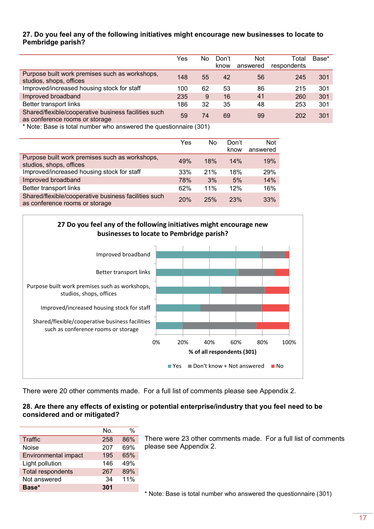### **27. Do you feel any of the following initiatives might encourage new businesses to locate to Pembridge parish?**

|                                                                                        | Yes | No | Don't<br>know | <b>Not</b><br>answered | Total<br>respondents | Base* |
|----------------------------------------------------------------------------------------|-----|----|---------------|------------------------|----------------------|-------|
| Purpose built work premises such as workshops,<br>studios, shops, offices              | 148 | 55 | 42            | 56                     | 245                  | 301   |
| Improved/increased housing stock for staff                                             | 100 | 62 | 53            | 86                     | 215                  | 301   |
| Improved broadband                                                                     | 235 | 9  | 16            | 41                     | 260                  | 301   |
| Better transport links                                                                 | 186 | 32 | 35            | 48                     | 253                  | 301   |
| Shared/flexible/cooperative business facilities such<br>as conference rooms or storage | 59  | 74 | 69            | 99                     | 202                  | 301   |

\* Note: Base is total number who answered the questionnaire (301)

|                                                                                        | Yes | No. | Don't<br>know | <b>Not</b><br>answered |
|----------------------------------------------------------------------------------------|-----|-----|---------------|------------------------|
| Purpose built work premises such as workshops,<br>studios, shops, offices              | 49% | 18% | 14%           | 19%                    |
| Improved/increased housing stock for staff                                             | 33% | 21% | 18%           | 29%                    |
| Improved broadband                                                                     | 78% | 3%  | 5%            | 14%                    |
| Better transport links                                                                 | 62% | 11% | 12%           | 16%                    |
| Shared/flexible/cooperative business facilities such<br>as conference rooms or storage | 20% | 25% | <b>23%</b>    | 33%                    |



There were 20 other comments made. For a full list of comments please see Appendix 2.

### **28. Are there any effects of existing or potential enterprise/industry that you feel need to be considered and or mitigated?**

|                             | Nο. | %   |
|-----------------------------|-----|-----|
| Traffic                     | 258 | 86% |
| <b>Noise</b>                | 207 | 69% |
| <b>Environmental impact</b> | 195 | 65% |
| Light pollution             | 146 | 49% |
| <b>Total respondents</b>    | 267 | 89% |
| Not answered                | 34  | 11% |
| Base*                       | 301 |     |

There were 23 other comments made. For a full list of comments please see Appendix 2.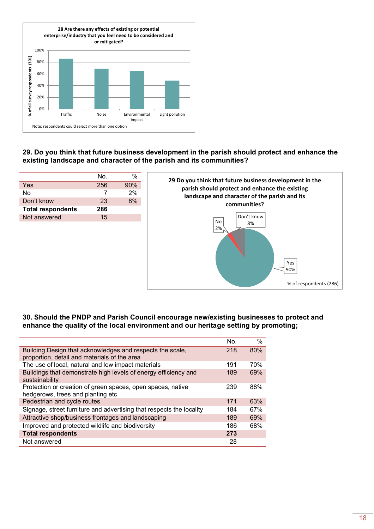

### **29. Do you think that future business development in the parish should protect and enhance the existing landscape and character of the parish and its communities?**

|                          | No. | %   |
|--------------------------|-----|-----|
| Yes                      | 256 | 90% |
| N٥                       |     | 2%  |
| Don't know               | 23  | 8%  |
| <b>Total respondents</b> | 286 |     |
| Not answered             | 15  |     |
|                          |     |     |



#### **30. Should the PNDP and Parish Council encourage new/existing businesses to protect and enhance the quality of the local environment and our heritage setting by promoting;**

|                                                                                                           | No. | $\%$ |
|-----------------------------------------------------------------------------------------------------------|-----|------|
| Building Design that acknowledges and respects the scale,<br>proportion, detail and materials of the area | 218 | 80%  |
| The use of local, natural and low impact materials                                                        | 191 | 70%  |
| Buildings that demonstrate high levels of energy efficiency and<br>sustainability                         | 189 | 69%  |
| Protection or creation of green spaces, open spaces, native<br>hedgerows, trees and planting etc.         | 239 | 88%  |
| Pedestrian and cycle routes                                                                               | 171 | 63%  |
| Signage, street furniture and advertising that respects the locality                                      | 184 | 67%  |
| Attractive shop/business frontages and landscaping                                                        | 189 | 69%  |
| Improved and protected wildlife and biodiversity                                                          | 186 | 68%  |
| <b>Total respondents</b>                                                                                  | 273 |      |
| Not answered                                                                                              | 28  |      |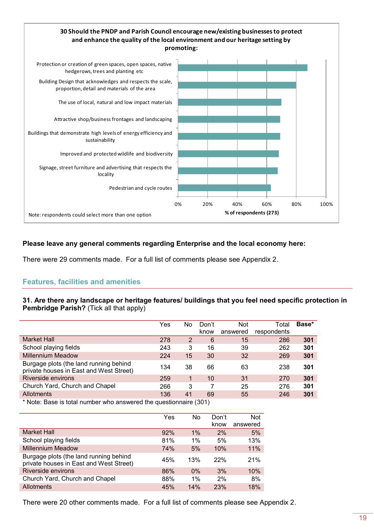

### **Please leave any general comments regarding Enterprise and the local economy here:**

There were 29 comments made. For a full list of comments please see Appendix 2.

### **Features, facilities and amenities**

#### **31. Are there any landscape or heritage features/ buildings that you feel need specific protection in Pembridge Parish?** (Tick all that apply)

|                                                                                   | Yes | No | Don't<br>know | <b>Not</b><br>answered | Total<br>respondents | Base* |
|-----------------------------------------------------------------------------------|-----|----|---------------|------------------------|----------------------|-------|
| Market Hall                                                                       | 278 | 2  | 6             | 15                     | 286                  | 301   |
| School playing fields                                                             | 243 | 3  | 16            | 39                     | 262                  | 301   |
| <b>Millennium Meadow</b>                                                          | 224 | 15 | 30            | 32                     | 269                  | 301   |
| Burgage plots (the land running behind<br>private houses in East and West Street) | 134 | 38 | 66            | 63                     | 238                  | 301   |
| Riverside environs                                                                | 259 |    | 10            | 31                     | 270                  | 301   |
| Church Yard, Church and Chapel                                                    | 266 | 3  |               | 25                     | 276                  | 301   |
| <b>Allotments</b>                                                                 | 136 | 41 | 69            | 55                     | 246                  | 301   |

Note: Base is total number who answered the questionnaire (301)

|                                                                                   | Yes | No.   | Don't<br>know | <b>Not</b><br>answered |
|-----------------------------------------------------------------------------------|-----|-------|---------------|------------------------|
| <b>Market Hall</b>                                                                | 92% | $1\%$ | 2%            | 5%                     |
| School playing fields                                                             | 81% | $1\%$ | 5%            | 13%                    |
| <b>Millennium Meadow</b>                                                          | 74% | 5%    | 10%           | 11%                    |
| Burgage plots (the land running behind<br>private houses in East and West Street) | 45% | 13%   | 22%           | 21%                    |
| Riverside environs                                                                | 86% | $0\%$ | 3%            | 10%                    |
| Church Yard, Church and Chapel                                                    | 88% | $1\%$ | 2%            | 8%                     |
| <b>Allotments</b>                                                                 | 45% | 14%   | 23%           | 18%                    |

There were 20 other comments made. For a full list of comments please see Appendix 2.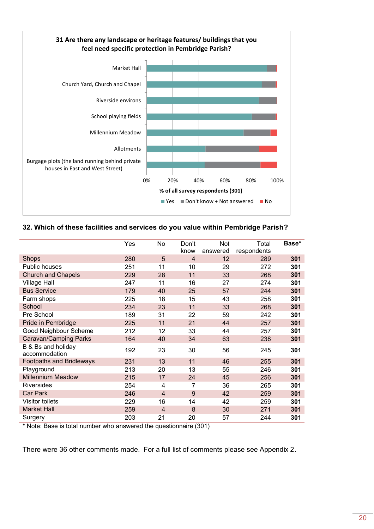

**32. Which of these facilities and services do you value within Pembridge Parish?** 

|                                     | Yes | No             | Don't<br>know | <b>Not</b><br>answered | Total<br>respondents | Base* |
|-------------------------------------|-----|----------------|---------------|------------------------|----------------------|-------|
| <b>Shops</b>                        | 280 | 5              | 4             | 12                     | 289                  | 301   |
| Public houses                       | 251 | 11             | 10            | 29                     | 272                  | 301   |
| <b>Church and Chapels</b>           | 229 | 28             | 11            | 33                     | 268                  | 301   |
| <b>Village Hall</b>                 | 247 | 11             | 16            | 27                     | 274                  | 301   |
| <b>Bus Service</b>                  | 179 | 40             | 25            | 57                     | 244                  | 301   |
| Farm shops                          | 225 | 18             | 15            | 43                     | 258                  | 301   |
| School                              | 234 | 23             | 11            | 33                     | 268                  | 301   |
| Pre School                          | 189 | 31             | 22            | 59                     | 242                  | 301   |
| Pride in Pembridge                  | 225 | 11             | 21            | 44                     | 257                  | 301   |
| Good Neighbour Scheme               | 212 | 12             | 33            | 44                     | 257                  | 301   |
| Caravan/Camping Parks               | 164 | 40             | 34            | 63                     | 238                  | 301   |
| B & Bs and holiday<br>accommodation | 192 | 23             | 30            | 56                     | 245                  | 301   |
| <b>Footpaths and Bridleways</b>     | 231 | 13             | 11            | 46                     | 255                  | 301   |
| Playground                          | 213 | 20             | 13            | 55                     | 246                  | 301   |
| <b>Millennium Meadow</b>            | 215 | 17             | 24            | 45                     | 256                  | 301   |
| Riversides                          | 254 | 4              | 7             | 36                     | 265                  | 301   |
| <b>Car Park</b>                     | 246 | 4              | 9             | 42                     | 259                  | 301   |
| <b>Visitor toilets</b>              | 229 | 16             | 14            | 42                     | 259                  | 301   |
| <b>Market Hall</b>                  | 259 | $\overline{4}$ | 8             | 30                     | 271                  | 301   |
| Surgery                             | 203 | 21             | 20            | 57                     | 244                  | 301   |

\* Note: Base is total number who answered the questionnaire (301)

There were 36 other comments made. For a full list of comments please see Appendix 2.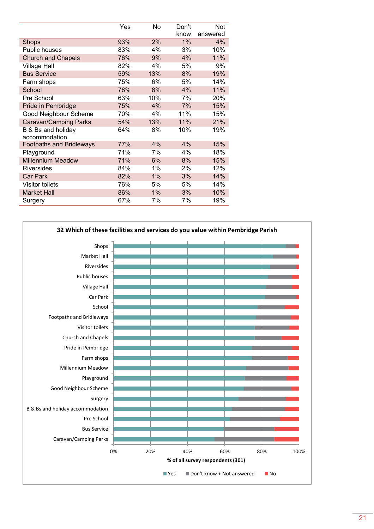|                                 | Yes | No    | Don't | Not      |
|---------------------------------|-----|-------|-------|----------|
|                                 |     |       | know  | answered |
| Shops                           | 93% | 2%    | $1\%$ | 4%       |
| Public houses                   | 83% | 4%    | 3%    | 10%      |
| <b>Church and Chapels</b>       | 76% | 9%    | 4%    | 11%      |
| <b>Village Hall</b>             | 82% | 4%    | 5%    | 9%       |
| <b>Bus Service</b>              | 59% | 13%   | 8%    | 19%      |
| Farm shops                      | 75% | 6%    | 5%    | 14%      |
| School                          | 78% | 8%    | 4%    | 11%      |
| Pre School                      | 63% | 10%   | 7%    | 20%      |
| Pride in Pembridge              | 75% | 4%    | 7%    | 15%      |
| Good Neighbour Scheme           | 70% | 4%    | 11%   | 15%      |
| Caravan/Camping Parks           | 54% | 13%   | 11%   | 21%      |
| B & Bs and holiday              | 64% | 8%    | 10%   | 19%      |
| accommodation                   |     |       |       |          |
| <b>Footpaths and Bridleways</b> | 77% | 4%    | 4%    | 15%      |
| Playground                      | 71% | 7%    | 4%    | 18%      |
| <b>Millennium Meadow</b>        | 71% | 6%    | 8%    | 15%      |
| <b>Riversides</b>               | 84% | $1\%$ | 2%    | 12%      |
| <b>Car Park</b>                 | 82% | 1%    | 3%    | 14%      |
| <b>Visitor toilets</b>          | 76% | 5%    | 5%    | 14%      |
| <b>Market Hall</b>              | 86% | $1\%$ | 3%    | 10%      |
| Surgery                         | 67% | 7%    | 7%    | 19%      |

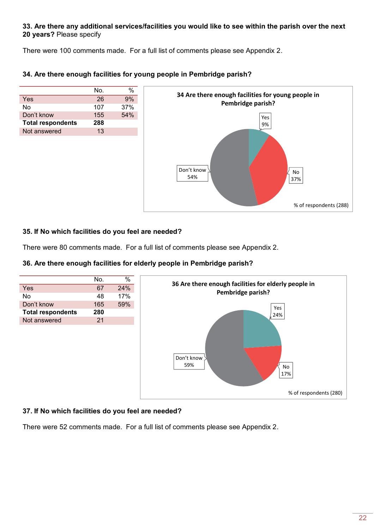### **33. Are there any additional services/facilities you would like to see within the parish over the next 20 years?** Please specify

There were 100 comments made. For a full list of comments please see Appendix 2.

|                          | No. |     |
|--------------------------|-----|-----|
| Yes                      | 26  | 9%  |
| No                       | 107 | 37% |
| Don't know               | 155 | 54% |
| <b>Total respondents</b> | 288 |     |
| Not answered             | 13  |     |
|                          |     |     |

### **34. Are there enough facilities for young people in Pembridge parish?**



### **35. If No which facilities do you feel are needed?**

There were 80 comments made. For a full list of comments please see Appendix 2.

### **36. Are there enough facilities for elderly people in Pembridge parish?**



### **37. If No which facilities do you feel are needed?**

There were 52 comments made. For a full list of comments please see Appendix 2.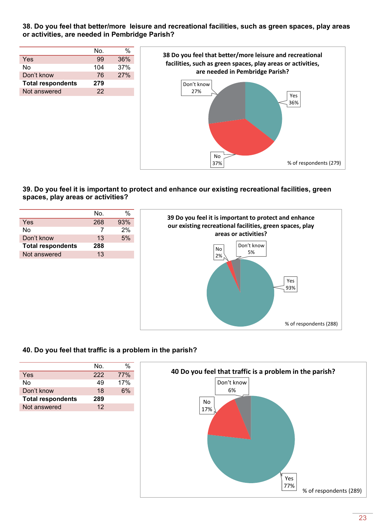### **38. Do you feel that better/more leisure and recreational facilities, such as green spaces, play areas or activities, are needed in Pembridge Parish?**

|                          | No. | %   |
|--------------------------|-----|-----|
| Yes                      | 99  | 36% |
| No                       | 104 | 37% |
| Don't know               | 76  | 27% |
| <b>Total respondents</b> | 279 |     |
| Not answered             | 22  |     |



### **39. Do you feel it is important to protect and enhance our existing recreational facilities, green spaces, play areas or activities?**

|                          | No. | $\%$ |
|--------------------------|-----|------|
| Yes                      | 268 | 93%  |
| No                       |     | 2%   |
| Don't know               | 13  | 5%   |
| <b>Total respondents</b> | 288 |      |
| Not answered             | 13  |      |
|                          |     |      |

### **40. Do you feel that traffic is a problem in the parish?**

|                          | No. |            |
|--------------------------|-----|------------|
| Yes                      | 222 | <b>77%</b> |
| N٥                       | 49  | 17%        |
| Don't know               | 18  | 6%         |
| <b>Total respondents</b> | 289 |            |
| Not answered             | 12  |            |



% of respondents (288)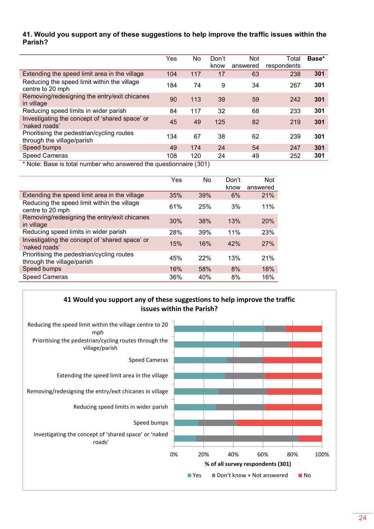### **41. Would you support any of these suggestions to help improve the traffic issues within the Parish?**

|                                                                                 | Yes | No  | Don't<br>know | <b>Not</b><br>answered | Total<br>respondents | Base* |  |  |
|---------------------------------------------------------------------------------|-----|-----|---------------|------------------------|----------------------|-------|--|--|
|                                                                                 |     |     |               |                        |                      |       |  |  |
| Extending the speed limit area in the village                                   | 104 | 117 | 17            | 63                     | 238                  | 301   |  |  |
| Reducing the speed limit within the village<br>centre to 20 mph                 | 184 | 74  | 9             | 34                     | 267                  | 301   |  |  |
| Removing/redesigning the entry/exit chicanes<br>in village                      | 90  | 113 | 39            | 59                     | 242                  | 301   |  |  |
| Reducing speed limits in wider parish                                           | 84  | 117 | 32            | 68                     | 233                  | 301   |  |  |
| Investigating the concept of 'shared space' or<br>'naked roads'                 | 45  | 49  | 125           | 82                     | 219                  | 301   |  |  |
| Prioritising the pedestrian/cycling routes<br>through the village/parish        | 134 | 67  | 38            | 62                     | 239                  | 301   |  |  |
| Speed bumps                                                                     | 49  | 174 | 24            | 54                     | 247                  | 301   |  |  |
| <b>Speed Cameras</b>                                                            | 108 | 120 | 24            | 49                     | 252                  | 301   |  |  |
| $\star$ Mate. Deep in tatal proposering a concrete different construction (004) |     |     |               |                        |                      |       |  |  |

|                                                                          | Yes | No. | Don't<br>know | <b>Not</b><br>answered |
|--------------------------------------------------------------------------|-----|-----|---------------|------------------------|
| Extending the speed limit area in the village                            | 35% | 39% | 6%            | 21%                    |
| Reducing the speed limit within the village<br>centre to 20 mph          | 61% | 25% | 3%            | 11%                    |
| Removing/redesigning the entry/exit chicanes<br>in village               | 30% | 38% | 13%           | 20%                    |
| Reducing speed limits in wider parish                                    | 28% | 39% | 11%           | 23%                    |
| Investigating the concept of 'shared space' or<br>'naked roads'          | 15% | 16% | 42%           | 27%                    |
| Prioritising the pedestrian/cycling routes<br>through the village/parish | 45% | 22% | 13%           | 21%                    |
| Speed bumps                                                              | 16% | 58% | 8%            | 18%                    |
| <b>Speed Cameras</b>                                                     | 36% | 40% | 8%            | 16%                    |



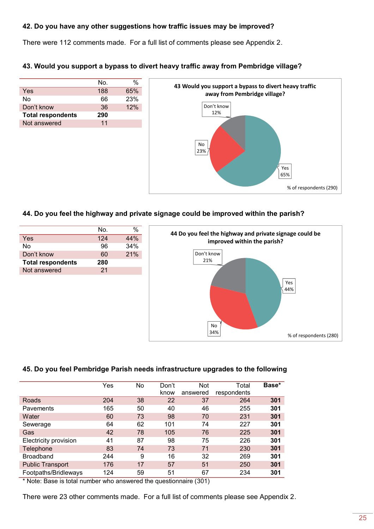### **42. Do you have any other suggestions how traffic issues may be improved?**

There were 112 comments made. For a full list of comments please see Appendix 2.

### **43. Would you support a bypass to divert heavy traffic away from Pembridge village?**

|                          | No. | %   |
|--------------------------|-----|-----|
| Yes                      | 188 | 65% |
| Nο                       | 66  | 23% |
| Don't know               | 36  | 12% |
| <b>Total respondents</b> | 290 |     |
| Not answered             | 11  |     |



### **44. Do you feel the highway and private signage could be improved within the parish?**



#### **45. Do you feel Pembridge Parish needs infrastructure upgrades to the following**

|                         | Yes | No | Don't<br>know | <b>Not</b><br>answered | Total<br>respondents | Base* |
|-------------------------|-----|----|---------------|------------------------|----------------------|-------|
| Roads                   | 204 | 38 | 22            | 37                     | 264                  | 301   |
| Pavements               | 165 | 50 | 40            | 46                     | 255                  | 301   |
| Water                   | 60  | 73 | 98            | 70                     | 231                  | 301   |
| Sewerage                | 64  | 62 | 101           | 74                     | 227                  | 301   |
| Gas                     | 42  | 78 | 105           | 76                     | 225                  | 301   |
| Electricity provision   | 41  | 87 | 98            | 75                     | 226                  | 301   |
| Telephone               | 83  | 74 | 73            | 71                     | 230                  | 301   |
| <b>Broadband</b>        | 244 | 9  | 16            | 32                     | 269                  | 301   |
| <b>Public Transport</b> | 176 | 17 | 57            | 51                     | 250                  | 301   |
| Footpaths/Bridleways    | 124 | 59 | 51            | 67                     | 234                  | 301   |

\* Note: Base is total number who answered the questionnaire (301)

There were 23 other comments made. For a full list of comments please see Appendix 2.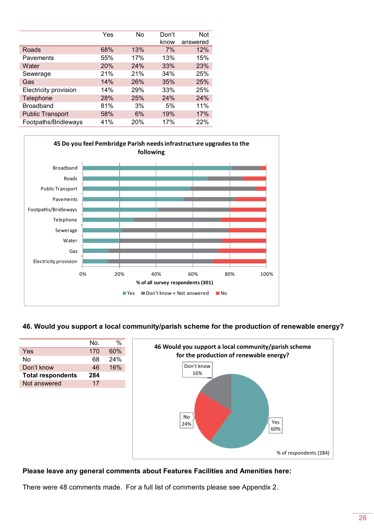|                         | Yes | No  | Don't | Not      |
|-------------------------|-----|-----|-------|----------|
|                         |     |     | know  | answered |
| <b>Roads</b>            | 68% | 13% | 7%    | 12%      |
| Pavements               | 55% | 17% | 13%   | 15%      |
| Water                   | 20% | 24% | 33%   | 23%      |
| Sewerage                | 21% | 21% | 34%   | 25%      |
| Gas                     | 14% | 26% | 35%   | 25%      |
| Electricity provision   | 14% | 29% | 33%   | 25%      |
| Telephone               | 28% | 25% | 24%   | 24%      |
| <b>Broadband</b>        | 81% | 3%  | 5%    | 11%      |
| <b>Public Transport</b> | 58% | 6%  | 19%   | 17%      |
| Footpaths/Bridleways    | 41% | 20% | 17%   | 22%      |



**46. Would you support a local community/parish scheme for the production of renewable energy?** 

|                          | No. | $\%$ | 46 Would you support a local community/parish scheme |
|--------------------------|-----|------|------------------------------------------------------|
| Yes                      | 170 | 60%  | for the production of renewable energy?              |
| No                       | 68  | 24%  |                                                      |
| Don't know               | 46  | 16%  | Don't know                                           |
| <b>Total respondents</b> | 284 |      | 16%                                                  |
| Not answered             | 17  |      |                                                      |
|                          |     |      | <b>No</b><br>Yes<br>24%<br>60%                       |
|                          |     |      | % of respondents (284)                               |

### **Please leave any general comments about Features Facilities and Amenities here:**

There were 48 comments made. For a full list of comments please see Appendix 2.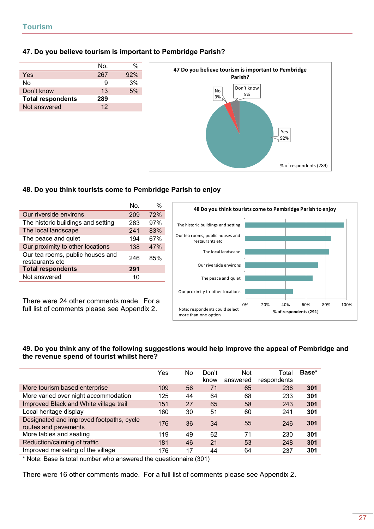### **47. Do you believe tourism is important to Pembridge Parish?**

|                          | No. |     |
|--------------------------|-----|-----|
| Yes                      | 267 | 92% |
| Nο                       | 9   | 3%  |
| Don't know               | 13  | 5%  |
| <b>Total respondents</b> | 289 |     |
| Not answered             | 12  |     |
|                          |     |     |



### **48. Do you think tourists come to Pembridge Parish to enjoy**

|                                                     | No. | $\frac{0}{0}$ |
|-----------------------------------------------------|-----|---------------|
| Our riverside environs                              | 209 | 72%           |
| The historic buildings and setting                  | 283 | 97%           |
| The local landscape                                 | 241 | 83%           |
| The peace and quiet                                 | 194 | 67%           |
| Our proximity to other locations                    | 138 | 47%           |
| Our tea rooms, public houses and<br>restaurants etc | 246 | 85%           |
| <b>Total respondents</b>                            | 291 |               |
| Not answered                                        | 10  |               |

There were 24 other comments made. For a full list of comments please see Appendix 2.



### **49. Do you think any of the following suggestions would help improve the appeal of Pembridge and the revenue spend of tourist whilst here?**

|                                                                  | Yes | No. | Don't<br>know | <b>Not</b><br>answered | Total<br>respondents | Base* |
|------------------------------------------------------------------|-----|-----|---------------|------------------------|----------------------|-------|
| More tourism based enterprise                                    | 109 | 56  | 71            | 65                     | 236                  | 301   |
| More varied over night accommodation                             | 125 | 44  | 64            | 68                     | 233                  | 301   |
| Improved Black and White village trail                           | 151 | 27  | 65            | 58                     | 243                  | 301   |
| Local heritage display                                           | 160 | 30  | 51            | 60                     | 241                  | 301   |
| Designated and improved footpaths, cycle<br>routes and pavements | 176 | 36  | 34            | 55                     | 246                  | 301   |
| More tables and seating                                          | 119 | 49  | 62            | 71                     | 230                  | 301   |
| Reduction/calming of traffic                                     | 181 | 46  | 21            | 53                     | 248                  | 301   |
| Improved marketing of the village                                | 176 | 17  | 44            | 64                     | 237                  | 301   |

\* Note: Base is total number who answered the questionnaire (301)

There were 16 other comments made. For a full list of comments please see Appendix 2.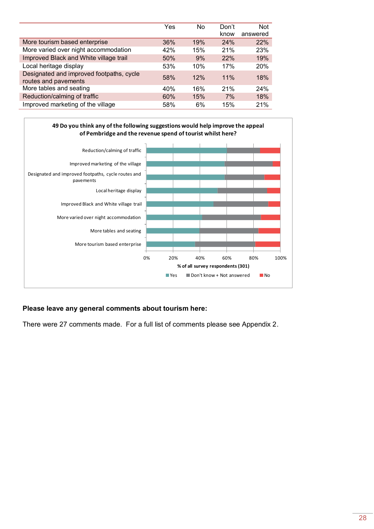|                                                                  | Yes | No. | Don't | <b>Not</b> |
|------------------------------------------------------------------|-----|-----|-------|------------|
|                                                                  |     |     | know  | answered   |
| More tourism based enterprise                                    | 36% | 19% | 24%   | 22%        |
| More varied over night accommodation                             | 42% | 15% | 21%   | 23%        |
| Improved Black and White village trail                           | 50% | 9%  | 22%   | 19%        |
| Local heritage display                                           | 53% | 10% | 17%   | 20%        |
| Designated and improved footpaths, cycle<br>routes and pavements | 58% | 12% | 11%   | 18%        |
| More tables and seating                                          | 40% | 16% | 21%   | 24%        |
| Reduction/calming of traffic                                     | 60% | 15% | 7%    | 18%        |
| Improved marketing of the village                                | 58% | 6%  | 15%   | 21%        |



### **Please leave any general comments about tourism here:**

There were 27 comments made. For a full list of comments please see Appendix 2.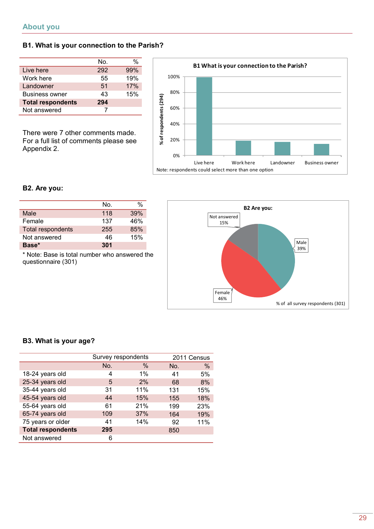### **B1. What is your connection to the Parish?**

|                          | No. |     |
|--------------------------|-----|-----|
| Live here                | 292 | 99% |
| Work here                | 55  | 19% |
| Landowner                | 51  | 17% |
| <b>Business owner</b>    | 43  | 15% |
| <b>Total respondents</b> | 294 |     |
| Not answered             |     |     |

There were 7 other comments made. For a full list of comments please see Appendix 2.



### **B2. Are you:**

|                          | No. | %   |
|--------------------------|-----|-----|
| Male                     | 118 | 39% |
| Female                   | 137 | 46% |
| <b>Total respondents</b> | 255 | 85% |
| Not answered             | 46  | 15% |
| Base*                    | 301 |     |

\* Note: Base is total number who answered the questionnaire (301)



### **B3. What is your age?**

|                          | Survey respondents |       |     | 2011 Census |
|--------------------------|--------------------|-------|-----|-------------|
|                          | No.                | $\%$  | No. | %           |
| 18-24 years old          | 4                  | $1\%$ | 41  | 5%          |
| 25-34 years old          | 5                  | 2%    | 68  | 8%          |
| 35-44 years old          | 31                 | 11%   | 131 | 15%         |
| 45-54 years old          | 44                 | 15%   | 155 | 18%         |
| 55-64 years old          | 61                 | 21%   | 199 | 23%         |
| 65-74 years old          | 109                | 37%   | 164 | 19%         |
| 75 years or older        | 41                 | 14%   | 92  | 11%         |
| <b>Total respondents</b> | 295                |       | 850 |             |
| Not answered             | 6                  |       |     |             |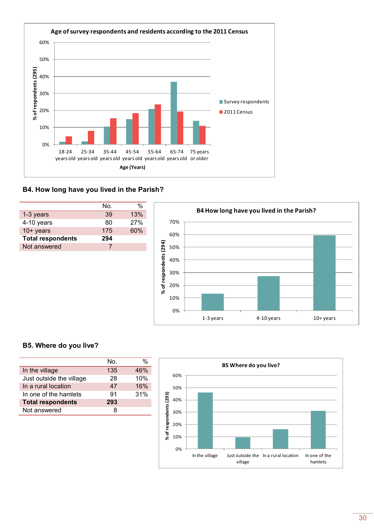

# **B4. How long have you lived in the Parish?**

|                          | Nο. |     |
|--------------------------|-----|-----|
| 1-3 years                | 39  | 13% |
| 4-10 years               | 80  | 27% |
| $10+$ years              | 175 | 60% |
| <b>Total respondents</b> | 294 |     |
| Not answered             |     |     |
|                          |     |     |



### **B5. Where do you live?**

|                          | No. | %   |
|--------------------------|-----|-----|
| In the village           | 135 | 46% |
| Just outside the village | 28  | 10% |
| In a rural location      | 47  | 16% |
| In one of the hamlets    | 91  | 31% |
| <b>Total respondents</b> | 293 |     |
| Not answered             |     |     |

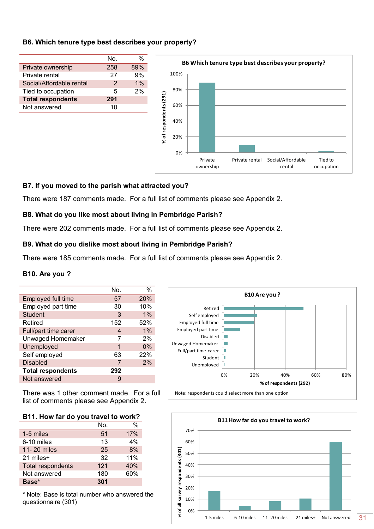### **B6. Which tenure type best describes your property?**



### **B7. If you moved to the parish what attracted you?**

There were 187 comments made. For a full list of comments please see Appendix 2.

### **B8. What do you like most about living in Pembridge Parish?**

There were 202 comments made. For a full list of comments please see Appendix 2.

### **B9. What do you dislike most about living in Pembridge Parish?**

There were 185 comments made. For a full list of comments please see Appendix 2.

#### **B10. Are you ?**

|                          | No. | $\frac{0}{0}$ |
|--------------------------|-----|---------------|
| Employed full time       | 57  | 20%           |
| Employed part time       | 30  | 10%           |
| <b>Student</b>           | 3   | $1\%$         |
| Retired                  | 152 | 52%           |
| Full/part time carer     | 4   | $1\%$         |
| <b>Unwaged Homemaker</b> |     | 2%            |
| Unemployed               | 1   | $0\%$         |
| Self employed            | 63  | 22%           |
| <b>Disabled</b>          | 7   | 2%            |
| <b>Total respondents</b> | 292 |               |
| Not answered             |     |               |

There was 1 other comment made. For a full list of comments please see Appendix 2.

#### **B11. How far do you travel to work?**

|                   | No. | %   |
|-------------------|-----|-----|
| 1-5 miles         | 51  | 17% |
| 6-10 miles        | 13  | 4%  |
| 11-20 miles       | 25  | 8%  |
| 21 miles+         | 32  | 11% |
| Total respondents | 121 | 40% |
| Not answered      | 180 | 60% |
| Base*             | 301 |     |



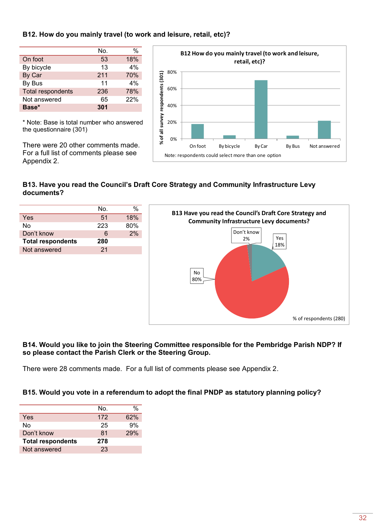### **B12. How do you mainly travel (to work and leisure, retail, etc)?**

|                          | No. | %   |
|--------------------------|-----|-----|
| On foot                  | 53  | 18% |
| By bicycle               | 13  | 4%  |
| By Car                   | 211 | 70% |
| By Bus                   | 11  | 4%  |
| <b>Total respondents</b> | 236 | 78% |
| Not answered             | 65  | 22% |
| Base*                    | 301 |     |

\* Note: Base is total number who answered the questionnaire (301)

There were 20 other comments made. For a full list of comments please see Appendix 2.



## **B13. Have you read the Council's Draft Core Strategy and Community Infrastructure Levy documents?**



### **B14. Would you like to join the Steering Committee responsible for the Pembridge Parish NDP? If so please contact the Parish Clerk or the Steering Group.**

There were 28 comments made. For a full list of comments please see Appendix 2.

### **B15. Would you vote in a referendum to adopt the final PNDP as statutory planning policy?**

|                          | No. | %   |
|--------------------------|-----|-----|
| Yes                      | 172 | 62% |
| Nο                       | 25  | 9%  |
| Don't know               | 81  | 29% |
| <b>Total respondents</b> | 278 |     |
| Not answered             | 23  |     |